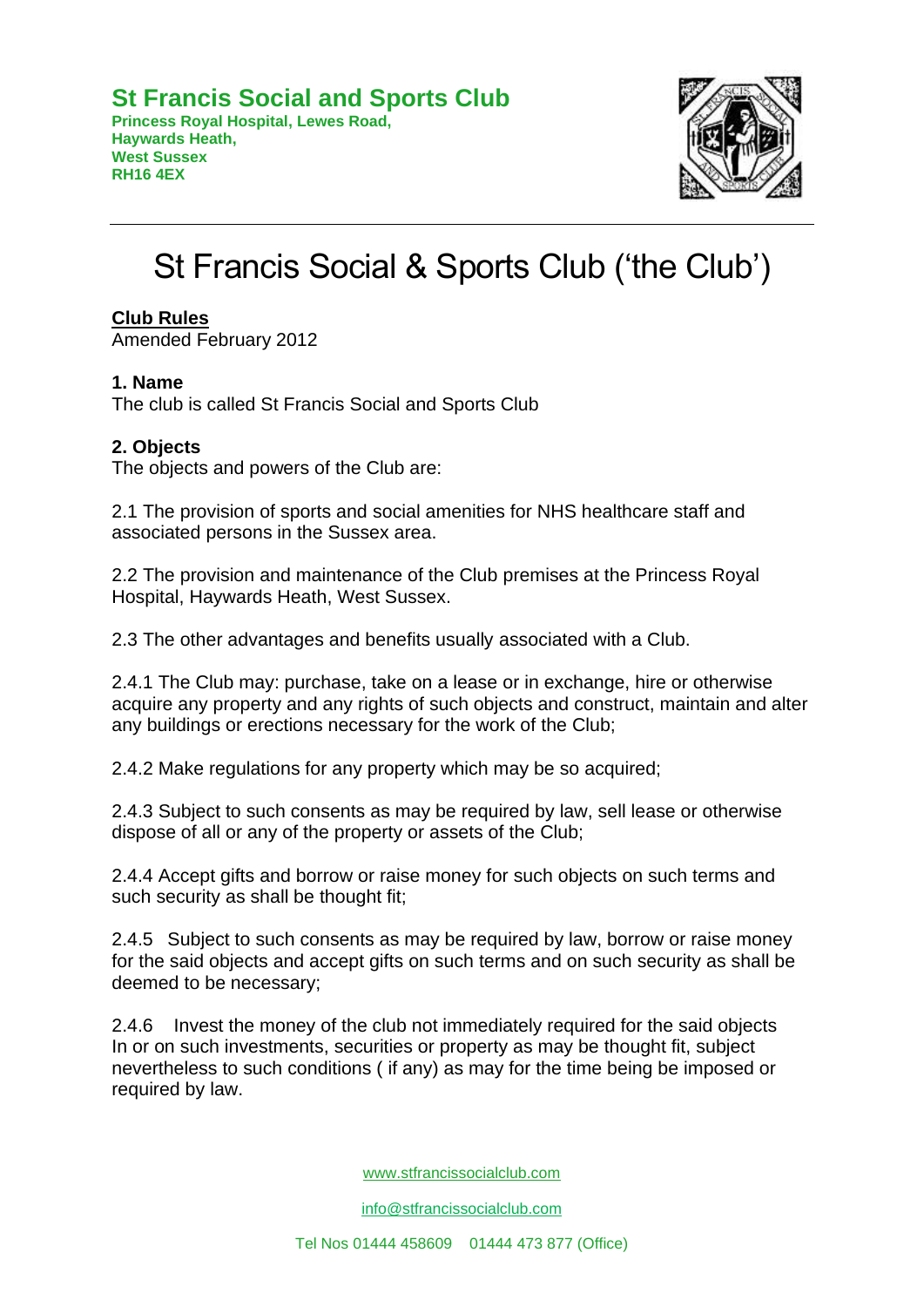**Princess Royal Hospital, Lewes Road, Haywards Heath, West Sussex RH16 4EX**



# St Francis Social & Sports Club ('the Club')

# **Club Rules**

Amended February 2012

# **1. Name**

The club is called St Francis Social and Sports Club

# **2. Objects**

The objects and powers of the Club are:

2.1 The provision of sports and social amenities for NHS healthcare staff and associated persons in the Sussex area.

2.2 The provision and maintenance of the Club premises at the Princess Royal Hospital, Haywards Heath, West Sussex.

2.3 The other advantages and benefits usually associated with a Club.

2.4.1 The Club may: purchase, take on a lease or in exchange, hire or otherwise acquire any property and any rights of such objects and construct, maintain and alter any buildings or erections necessary for the work of the Club;

2.4.2 Make regulations for any property which may be so acquired;

2.4.3 Subject to such consents as may be required by law, sell lease or otherwise dispose of all or any of the property or assets of the Club;

2.4.4 Accept gifts and borrow or raise money for such objects on such terms and such security as shall be thought fit;

2.4.5 Subject to such consents as may be required by law, borrow or raise money for the said objects and accept gifts on such terms and on such security as shall be deemed to be necessary;

2.4.6 Invest the money of the club not immediately required for the said objects In or on such investments, securities or property as may be thought fit, subject nevertheless to such conditions ( if any) as may for the time being be imposed or required by law.

[www.stfrancissocialclub.com](http://www.stfrancissocialclub.com/) 

[info@stfrancissocialclub.com](mailto:info@stfrancissocialclub.com)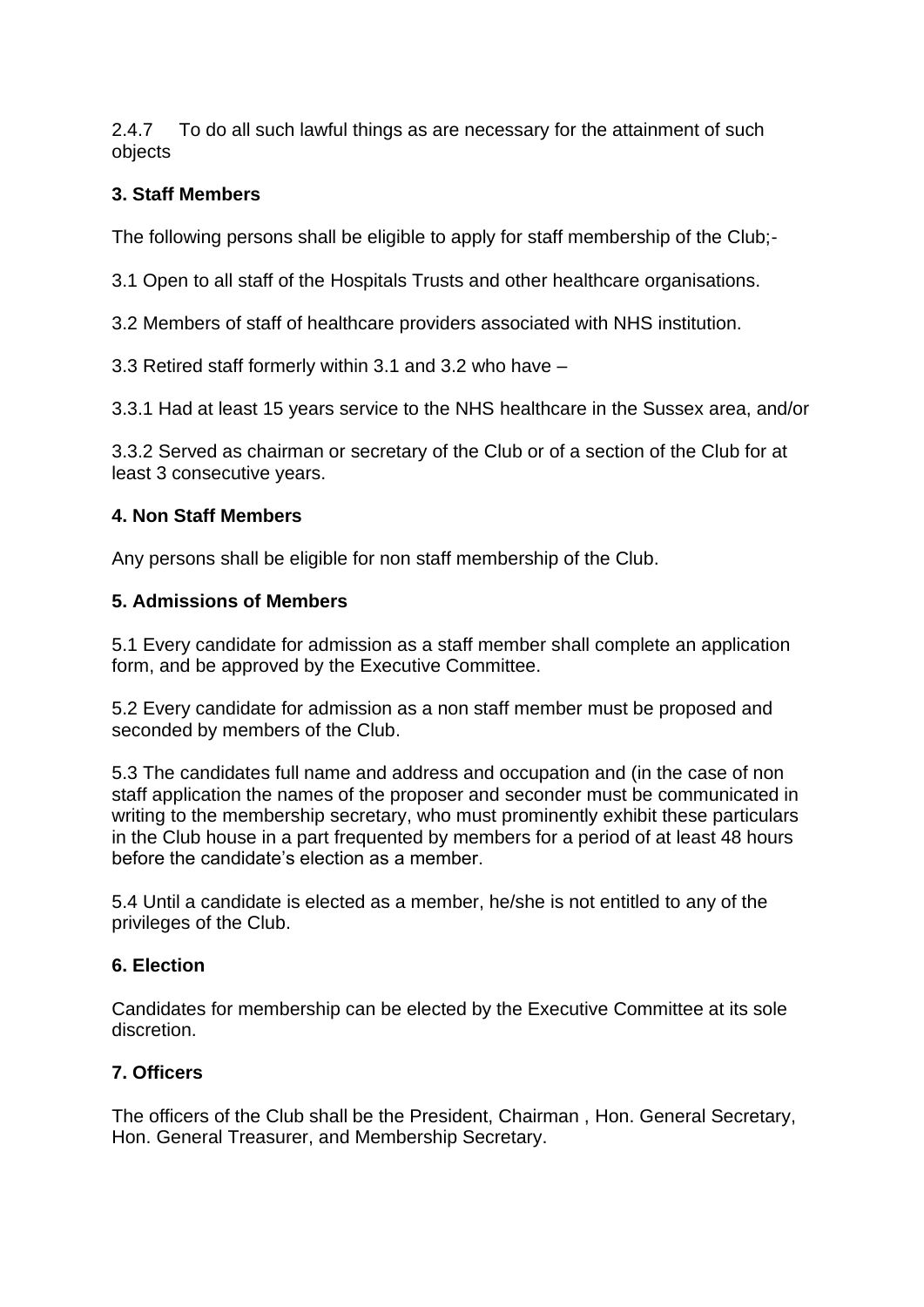2.4.7 To do all such lawful things as are necessary for the attainment of such objects

# **3. Staff Members**

The following persons shall be eligible to apply for staff membership of the Club;-

3.1 Open to all staff of the Hospitals Trusts and other healthcare organisations.

3.2 Members of staff of healthcare providers associated with NHS institution.

3.3 Retired staff formerly within 3.1 and 3.2 who have –

3.3.1 Had at least 15 years service to the NHS healthcare in the Sussex area, and/or

3.3.2 Served as chairman or secretary of the Club or of a section of the Club for at least 3 consecutive years.

# **4. Non Staff Members**

Any persons shall be eligible for non staff membership of the Club.

# **5. Admissions of Members**

5.1 Every candidate for admission as a staff member shall complete an application form, and be approved by the Executive Committee.

5.2 Every candidate for admission as a non staff member must be proposed and seconded by members of the Club.

5.3 The candidates full name and address and occupation and (in the case of non staff application the names of the proposer and seconder must be communicated in writing to the membership secretary, who must prominently exhibit these particulars in the Club house in a part frequented by members for a period of at least 48 hours before the candidate's election as a member.

5.4 Until a candidate is elected as a member, he/she is not entitled to any of the privileges of the Club.

# **6. Election**

Candidates for membership can be elected by the Executive Committee at its sole discretion.

# **7. Officers**

The officers of the Club shall be the President, Chairman , Hon. General Secretary, Hon. General Treasurer, and Membership Secretary.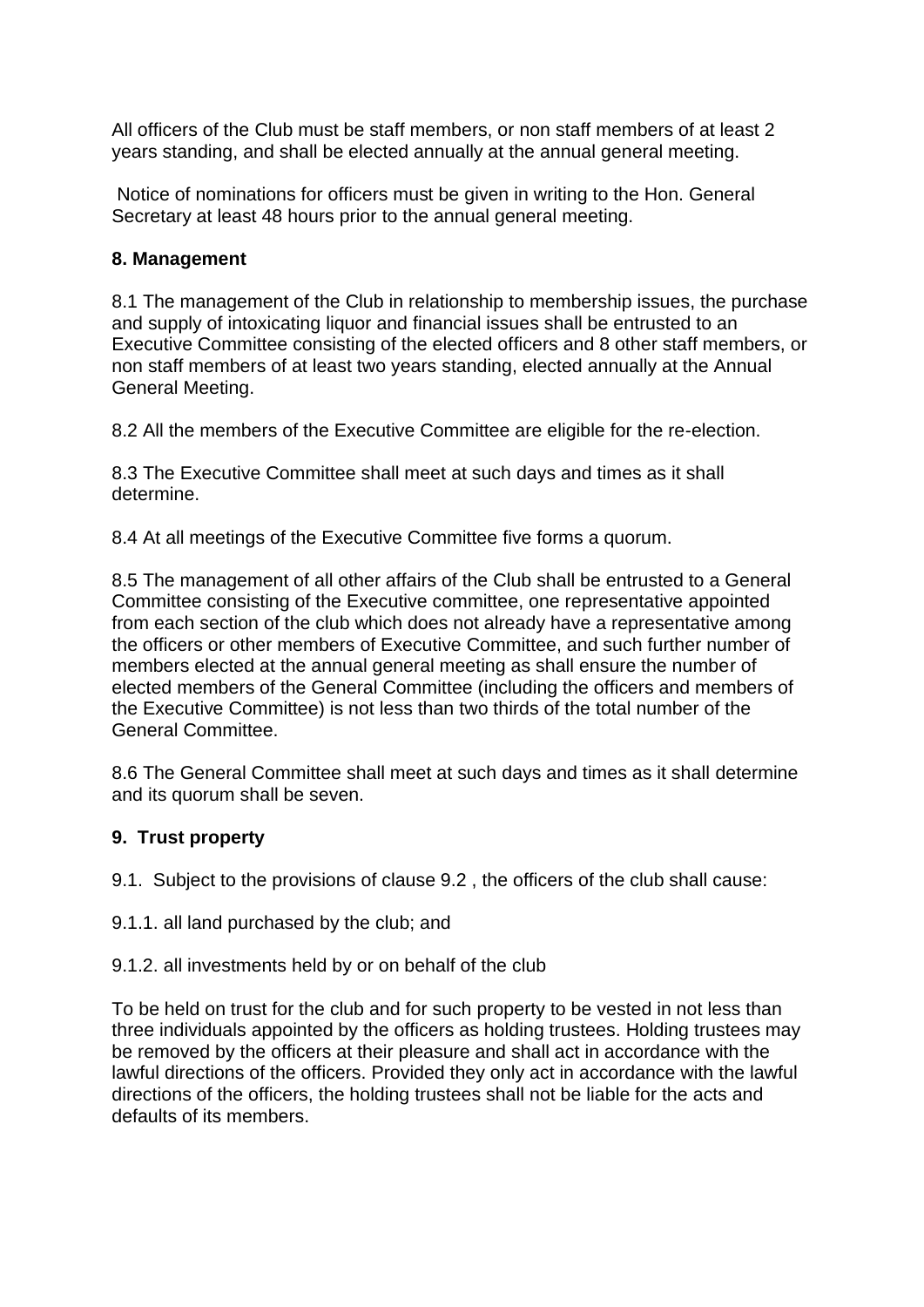All officers of the Club must be staff members, or non staff members of at least 2 years standing, and shall be elected annually at the annual general meeting.

Notice of nominations for officers must be given in writing to the Hon. General Secretary at least 48 hours prior to the annual general meeting.

# **8. Management**

8.1 The management of the Club in relationship to membership issues, the purchase and supply of intoxicating liquor and financial issues shall be entrusted to an Executive Committee consisting of the elected officers and 8 other staff members, or non staff members of at least two years standing, elected annually at the Annual General Meeting.

8.2 All the members of the Executive Committee are eligible for the re-election.

8.3 The Executive Committee shall meet at such days and times as it shall determine.

8.4 At all meetings of the Executive Committee five forms a quorum.

8.5 The management of all other affairs of the Club shall be entrusted to a General Committee consisting of the Executive committee, one representative appointed from each section of the club which does not already have a representative among the officers or other members of Executive Committee, and such further number of members elected at the annual general meeting as shall ensure the number of elected members of the General Committee (including the officers and members of the Executive Committee) is not less than two thirds of the total number of the General Committee.

8.6 The General Committee shall meet at such days and times as it shall determine and its quorum shall be seven.

# **9. Trust property**

9.1. Subject to the provisions of clause 9.2 , the officers of the club shall cause:

- 9.1.1. all land purchased by the club; and
- 9.1.2. all investments held by or on behalf of the club

To be held on trust for the club and for such property to be vested in not less than three individuals appointed by the officers as holding trustees. Holding trustees may be removed by the officers at their pleasure and shall act in accordance with the lawful directions of the officers. Provided they only act in accordance with the lawful directions of the officers, the holding trustees shall not be liable for the acts and defaults of its members.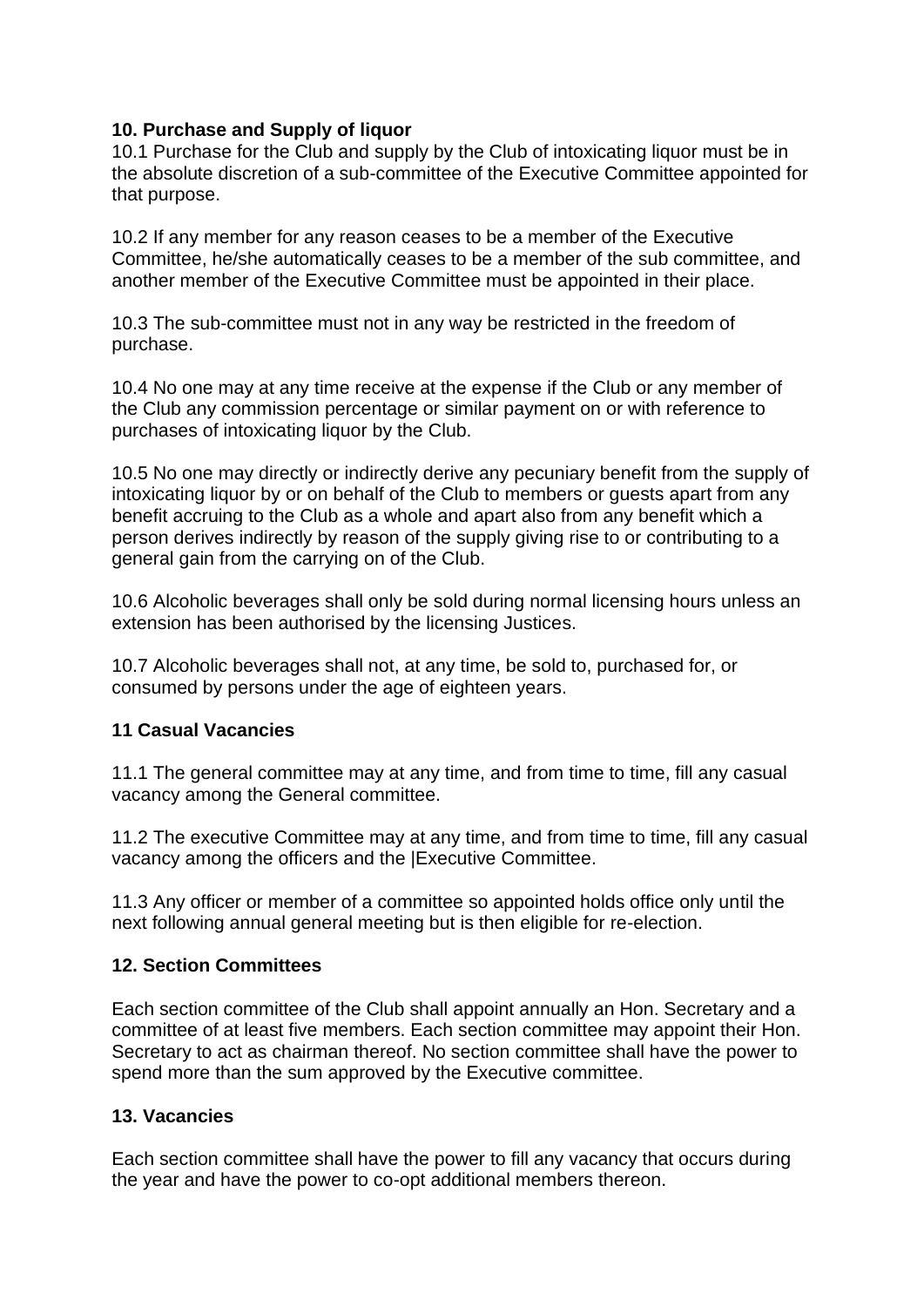# **10. Purchase and Supply of liquor**

10.1 Purchase for the Club and supply by the Club of intoxicating liquor must be in the absolute discretion of a sub-committee of the Executive Committee appointed for that purpose.

10.2 If any member for any reason ceases to be a member of the Executive Committee, he/she automatically ceases to be a member of the sub committee, and another member of the Executive Committee must be appointed in their place.

10.3 The sub-committee must not in any way be restricted in the freedom of purchase.

10.4 No one may at any time receive at the expense if the Club or any member of the Club any commission percentage or similar payment on or with reference to purchases of intoxicating liquor by the Club.

10.5 No one may directly or indirectly derive any pecuniary benefit from the supply of intoxicating liquor by or on behalf of the Club to members or guests apart from any benefit accruing to the Club as a whole and apart also from any benefit which a person derives indirectly by reason of the supply giving rise to or contributing to a general gain from the carrying on of the Club.

10.6 Alcoholic beverages shall only be sold during normal licensing hours unless an extension has been authorised by the licensing Justices.

10.7 Alcoholic beverages shall not, at any time, be sold to, purchased for, or consumed by persons under the age of eighteen years.

# **11 Casual Vacancies**

11.1 The general committee may at any time, and from time to time, fill any casual vacancy among the General committee.

11.2 The executive Committee may at any time, and from time to time, fill any casual vacancy among the officers and the |Executive Committee.

11.3 Any officer or member of a committee so appointed holds office only until the next following annual general meeting but is then eligible for re-election.

# **12. Section Committees**

Each section committee of the Club shall appoint annually an Hon. Secretary and a committee of at least five members. Each section committee may appoint their Hon. Secretary to act as chairman thereof. No section committee shall have the power to spend more than the sum approved by the Executive committee.

# **13. Vacancies**

Each section committee shall have the power to fill any vacancy that occurs during the year and have the power to co-opt additional members thereon.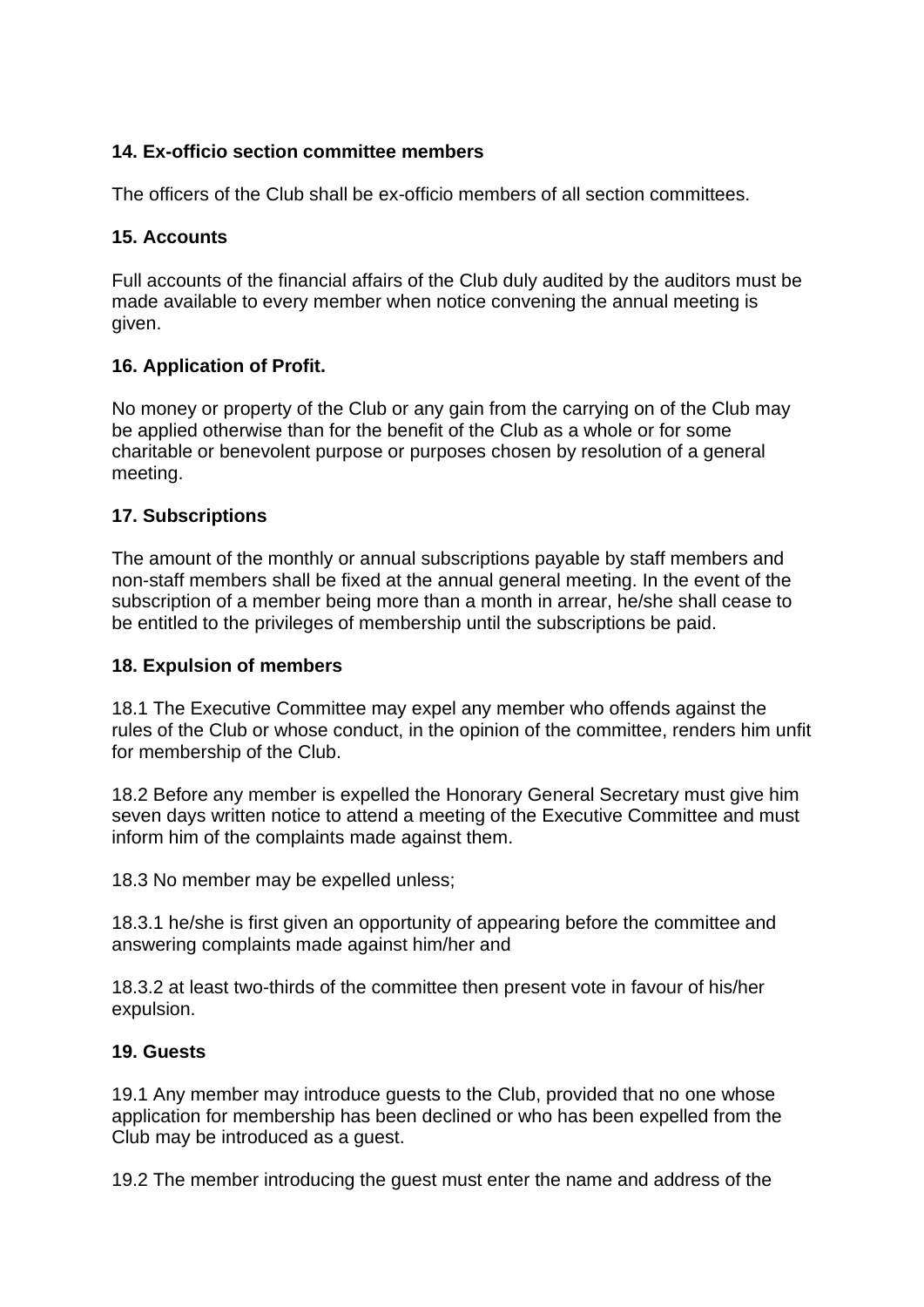# **14. Ex-officio section committee members**

The officers of the Club shall be ex-officio members of all section committees.

# **15. Accounts**

Full accounts of the financial affairs of the Club duly audited by the auditors must be made available to every member when notice convening the annual meeting is given.

# **16. Application of Profit.**

No money or property of the Club or any gain from the carrying on of the Club may be applied otherwise than for the benefit of the Club as a whole or for some charitable or benevolent purpose or purposes chosen by resolution of a general meeting.

# **17. Subscriptions**

The amount of the monthly or annual subscriptions payable by staff members and non-staff members shall be fixed at the annual general meeting. In the event of the subscription of a member being more than a month in arrear, he/she shall cease to be entitled to the privileges of membership until the subscriptions be paid.

# **18. Expulsion of members**

18.1 The Executive Committee may expel any member who offends against the rules of the Club or whose conduct, in the opinion of the committee, renders him unfit for membership of the Club.

18.2 Before any member is expelled the Honorary General Secretary must give him seven days written notice to attend a meeting of the Executive Committee and must inform him of the complaints made against them.

18.3 No member may be expelled unless;

18.3.1 he/she is first given an opportunity of appearing before the committee and answering complaints made against him/her and

18.3.2 at least two-thirds of the committee then present vote in favour of his/her expulsion.

# **19. Guests**

19.1 Any member may introduce guests to the Club, provided that no one whose application for membership has been declined or who has been expelled from the Club may be introduced as a guest.

19.2 The member introducing the guest must enter the name and address of the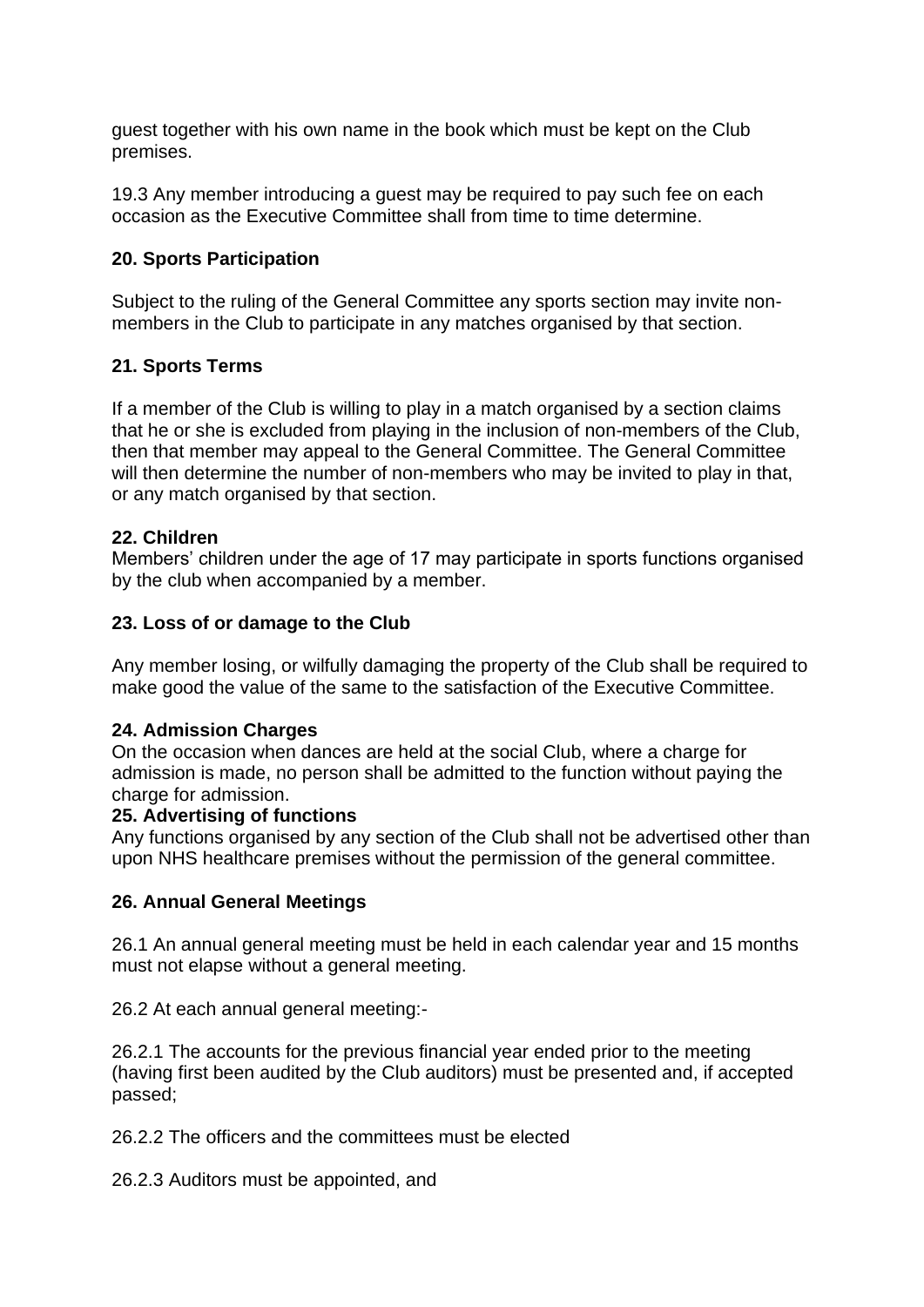guest together with his own name in the book which must be kept on the Club premises.

19.3 Any member introducing a guest may be required to pay such fee on each occasion as the Executive Committee shall from time to time determine.

# **20. Sports Participation**

Subject to the ruling of the General Committee any sports section may invite nonmembers in the Club to participate in any matches organised by that section.

# **21. Sports Terms**

If a member of the Club is willing to play in a match organised by a section claims that he or she is excluded from playing in the inclusion of non-members of the Club, then that member may appeal to the General Committee. The General Committee will then determine the number of non-members who may be invited to play in that, or any match organised by that section.

# **22. Children**

Members' children under the age of 17 may participate in sports functions organised by the club when accompanied by a member.

# **23. Loss of or damage to the Club**

Any member losing, or wilfully damaging the property of the Club shall be required to make good the value of the same to the satisfaction of the Executive Committee.

#### **24. Admission Charges**

On the occasion when dances are held at the social Club, where a charge for admission is made, no person shall be admitted to the function without paying the charge for admission.

#### **25. Advertising of functions**

Any functions organised by any section of the Club shall not be advertised other than upon NHS healthcare premises without the permission of the general committee.

# **26. Annual General Meetings**

26.1 An annual general meeting must be held in each calendar year and 15 months must not elapse without a general meeting.

26.2 At each annual general meeting:-

26.2.1 The accounts for the previous financial year ended prior to the meeting (having first been audited by the Club auditors) must be presented and, if accepted passed;

26.2.2 The officers and the committees must be elected

26.2.3 Auditors must be appointed, and